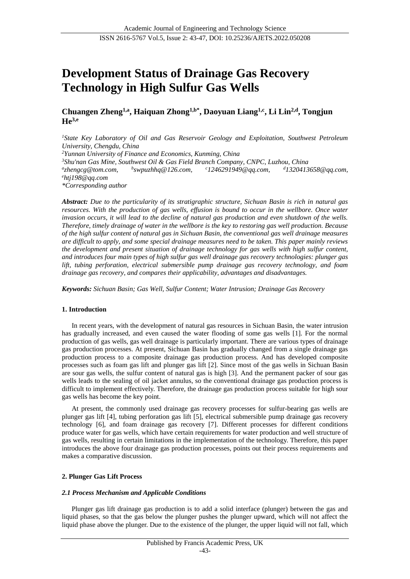# **Development Status of Drainage Gas Recovery Technology in High Sulfur Gas Wells**

**Chuangen Zheng1,a, Haiquan Zhong1,b\*, Daoyuan Liang1,c, Li Lin2,d , Tongjun He3,e**

*<sup>1</sup>State Key Laboratory of Oil and Gas Reservoir Geology and Exploitation, Southwest Petroleum University, Chengdu, China <sup>2</sup>Yunnan University of Finance and Economics, Kunming, China <sup>3</sup>Shu'nan Gas Mine, Southwest Oil & Gas Field Branch Company, CNPC, Luzhou, China a zhengcg@tom.com, b swpuzhhq@126.com, <sup>c</sup>1246291949@qq.com, <sup>d</sup>1320413658@qq.com, <sup>e</sup>htj198@qq.com \*Corresponding author*

*Abstract: Due to the particularity of its stratigraphic structure, Sichuan Basin is rich in natural gas resources. With the production of gas wells, effusion is bound to occur in the wellbore. Once water invasion occurs, it will lead to the decline of natural gas production and even shutdown of the wells. Therefore, timely drainage of water in the wellbore is the key to restoring gas well production. Because of the high sulfur content of natural gas in Sichuan Basin, the conventional gas well drainage measures are difficult to apply, and some special drainage measures need to be taken. This paper mainly reviews the development and present situation of drainage technology for gas wells with high sulfur content, and introduces four main types of high sulfur gas well drainage gas recovery technologies: plunger gas lift, tubing perforation, electrical submersible pump drainage gas recovery technology, and foam drainage gas recovery, and compares their applicability, advantages and disadvantages.*

*Keywords: Sichuan Basin; Gas Well, Sulfur Content; Water Intrusion; Drainage Gas Recovery*

## **1. Introduction**

In recent years, with the development of natural gas resources in Sichuan Basin, the water intrusion has gradually increased, and even caused the water flooding of some gas wells [1]. For the normal production of gas wells, gas well drainage is particularly important. There are various types of drainage gas production processes. At present, Sichuan Basin has gradually changed from a single drainage gas production process to a composite drainage gas production process. And has developed composite processes such as foam gas lift and plunger gas lift [2]. Since most of the gas wells in Sichuan Basin are sour gas wells, the sulfur content of natural gas is high [3]. And the permanent packer of sour gas wells leads to the sealing of oil jacket annulus, so the conventional drainage gas production process is difficult to implement effectively. Therefore, the drainage gas production process suitable for high sour gas wells has become the key point.

At present, the commonly used drainage gas recovery processes for sulfur-bearing gas wells are plunger gas lift [4], tubing perforation gas lift [5], electrical submersible pump drainage gas recovery technology [6], and foam drainage gas recovery [7]. Different processes for different conditions produce water for gas wells, which have certain requirements for water production and well structure of gas wells, resulting in certain limitations in the implementation of the technology. Therefore, this paper introduces the above four drainage gas production processes, points out their process requirements and makes a comparative discussion.

#### **2. Plunger Gas Lift Process**

## *2.1 Process Mechanism and Applicable Conditions*

Plunger gas lift drainage gas production is to add a solid interface (plunger) between the gas and liquid phases, so that the gas below the plunger pushes the plunger upward, which will not affect the liquid phase above the plunger. Due to the existence of the plunger, the upper liquid will not fall, which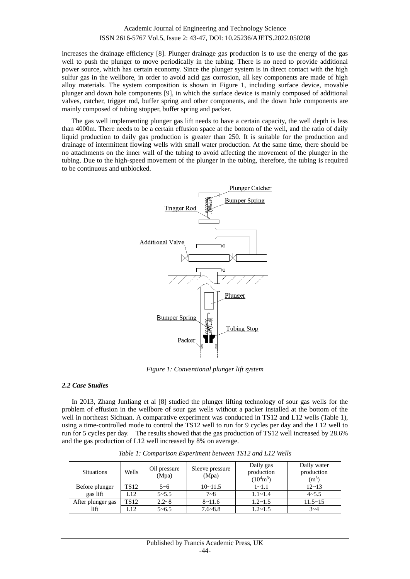## ISSN 2616-5767 Vol.5, Issue 2: 43-47, DOI: 10.25236/AJETS.2022.050208

increases the drainage efficiency [8]. Plunger drainage gas production is to use the energy of the gas well to push the plunger to move periodically in the tubing. There is no need to provide additional power source, which has certain economy. Since the plunger system is in direct contact with the high sulfur gas in the wellbore, in order to avoid acid gas corrosion, all key components are made of high alloy materials. The system composition is shown in Figure 1, including surface device, movable plunger and down hole components [9], in which the surface device is mainly composed of additional valves, catcher, trigger rod, buffer spring and other components, and the down hole components are mainly composed of tubing stopper, buffer spring and packer.

The gas well implementing plunger gas lift needs to have a certain capacity, the well depth is less than 4000m. There needs to be a certain effusion space at the bottom of the well, and the ratio of daily liquid production to daily gas production is greater than 250. It is suitable for the production and drainage of intermittent flowing wells with small water production. At the same time, there should be no attachments on the inner wall of the tubing to avoid affecting the movement of the plunger in the tubing. Due to the high-speed movement of the plunger in the tubing, therefore, the tubing is required to be continuous and unblocked.



*Figure 1: Conventional plunger lift system*

#### *2.2 Case Studies*

In 2013, Zhang Junliang et al [8] studied the plunger lifting technology of sour gas wells for the problem of effusion in the wellbore of sour gas wells without a packer installed at the bottom of the well in northeast Sichuan. A comparative experiment was conducted in TS12 and L12 wells (Table 1), using a time-controlled mode to control the TS12 well to run for 9 cycles per day and the L12 well to run for 5 cycles per day. The results showed that the gas production of TS12 well increased by 28.6% and the gas production of L12 well increased by 8% on average.

| <b>Situations</b> | Wells            | Oil pressure<br>(Mpa) | Sleeve pressure<br>(Mpa) | Daily gas<br>production<br>$(10^4 \text{m}^3)$ | Daily water<br>production<br>$(m^3)$ |
|-------------------|------------------|-----------------------|--------------------------|------------------------------------------------|--------------------------------------|
| Before plunger    | TS <sub>12</sub> | $5 - 6$               | $10 - 11.5$              | $1 - 1.1$                                      | $12 - 13$                            |
| gas lift          | L12              | $5 - 5.5$             | $7 - 8$                  | $1.1 - 1.4$                                    | $4 - 5.5$                            |
| After plunger gas | TS12             | $2.2 - 8$             | $8 - 11.6$               | $1.2 - 1.5$                                    | $11.5 - 15$                          |
| lift              | L12              | $5 - 6.5$             | $7.6 - 8.8$              | $1.2 - 1.5$                                    | $3 - 4$                              |

*Table 1: Comparison Experiment between TS12 and L12 Wells*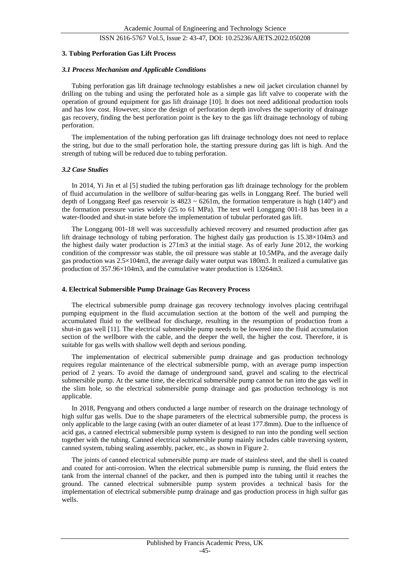# ISSN 2616-5767 Vol.5, Issue 2: 43-47, DOI: 10.25236/AJETS.2022.050208

#### **3. Tubing Perforation Gas Lift Process**

#### *3.1 Process Mechanism and Applicable Conditions*

Tubing perforation gas lift drainage technology establishes a new oil jacket circulation channel by drilling on the tubing and using the perforated hole as a simple gas lift valve to cooperate with the operation of ground equipment for gas lift drainage [10]. It does not need additional production tools and has low cost. However, since the design of perforation depth involves the superiority of drainage gas recovery, finding the best perforation point is the key to the gas lift drainage technology of tubing perforation.

The implementation of the tubing perforation gas lift drainage technology does not need to replace the string, but due to the small perforation hole, the starting pressure during gas lift is high. And the strength of tubing will be reduced due to tubing perforation.

#### *3.2 Case Studies*

In 2014, Yi Jin et al [5] studied the tubing perforation gas lift drainage technology for the problem of fluid accumulation in the wellbore of sulfur-bearing gas wells in Longgang Reef. The buried well depth of Longgang Reef gas reservoir is  $4823 \sim 6261$ m, the formation temperature is high (140 $\degree$ ) and the formation pressure varies widely (25 to 61 MPa). The test well Longgang 001-18 has been in a water-flooded and shut-in state before the implementation of tubular perforated gas lift.

The Longgang 001-18 well was successfully achieved recovery and resumed production after gas lift drainage technology of tubing perforation. The highest daily gas production is 15.38×104m3 and the highest daily water production is 271m3 at the initial stage. As of early June 2012, the working condition of the compressor was stable, the oil pressure was stable at 10.5MPa, and the average daily gas production was 2.5×104m3, the average daily water output was 180m3. It realized a cumulative gas production of 357.96×104m3, and the cumulative water production is 13264m3.

#### **4. Electrical Submersible Pump Drainage Gas Recovery Process**

The electrical submersible pump drainage gas recovery technology involves placing centrifugal pumping equipment in the fluid accumulation section at the bottom of the well and pumping the accumulated fluid to the wellhead for discharge, resulting in the resumption of production from a shut-in gas well [11]. The electrical submersible pump needs to be lowered into the fluid accumulation section of the wellbore with the cable, and the deeper the well, the higher the cost. Therefore, it is suitable for gas wells with shallow well depth and serious ponding.

The implementation of electrical submersible pump drainage and gas production technology requires regular maintenance of the electrical submersible pump, with an average pump inspection period of 2 years. To avoid the damage of underground sand, gravel and scaling to the electrical submersible pump. At the same time, the electrical submersible pump cannot be run into the gas well in the slim hole, so the electrical submersible pump drainage and gas production technology is not applicable.

In 2018, Pengyang and others conducted a large number of research on the drainage technology of high sulfur gas wells. Due to the shape parameters of the electrical submersible pump, the process is only applicable to the large casing (with an outer diameter of at least 177.8mm). Due to the influence of acid gas, a canned electrical submersible pump system is designed to run into the ponding well section together with the tubing. Canned electrical submersible pump mainly includes cable traversing system, canned system, tubing sealing assembly, packer, etc., as shown in Figure 2.

The joints of canned electrical submersible pump are made of stainless steel, and the shell is coated and coated for anti-corrosion. When the electrical submersible pump is running, the fluid enters the tank from the internal channel of the packer, and then is pumped into the tubing until it reaches the ground. The canned electrical submersible pump system provides a technical basis for the implementation of electrical submersible pump drainage and gas production process in high sulfur gas wells.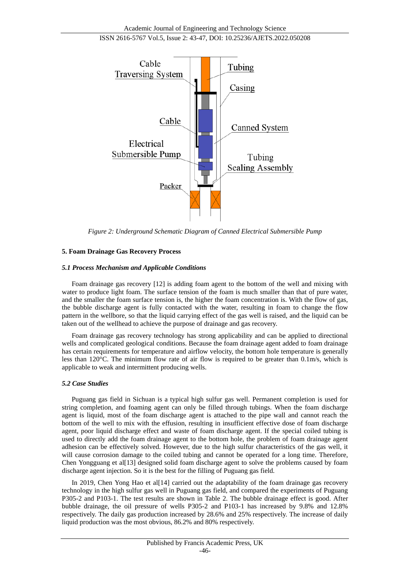

*Figure 2: Underground Schematic Diagram of Canned Electrical Submersible Pump*

# **5. Foam Drainage Gas Recovery Process**

## *5.1 Process Mechanism and Applicable Conditions*

Foam drainage gas recovery [12] is adding foam agent to the bottom of the well and mixing with water to produce light foam. The surface tension of the foam is much smaller than that of pure water, and the smaller the foam surface tension is, the higher the foam concentration is. With the flow of gas, the bubble discharge agent is fully contacted with the water, resulting in foam to change the flow pattern in the wellbore, so that the liquid carrying effect of the gas well is raised, and the liquid can be taken out of the wellhead to achieve the purpose of drainage and gas recovery.

Foam drainage gas recovery technology has strong applicability and can be applied to directional wells and complicated geological conditions. Because the foam drainage agent added to foam drainage has certain requirements for temperature and airflow velocity, the bottom hole temperature is generally less than 120°C. The minimum flow rate of air flow is required to be greater than 0.1m/s, which is applicable to weak and intermittent producing wells.

# *5.2 Case Studies*

Puguang gas field in Sichuan is a typical high sulfur gas well. Permanent completion is used for string completion, and foaming agent can only be filled through tubings. When the foam discharge agent is liquid, most of the foam discharge agent is attached to the pipe wall and cannot reach the bottom of the well to mix with the effusion, resulting in insufficient effective dose of foam discharge agent, poor liquid discharge effect and waste of foam discharge agent. If the special coiled tubing is used to directly add the foam drainage agent to the bottom hole, the problem of foam drainage agent adhesion can be effectively solved. However, due to the high sulfur characteristics of the gas well, it will cause corrosion damage to the coiled tubing and cannot be operated for a long time. Therefore, Chen Yongguang et al[13] designed solid foam discharge agent to solve the problems caused by foam discharge agent injection. So it is the best for the filling of Puguang gas field.

In 2019, Chen Yong Hao et al[14] carried out the adaptability of the foam drainage gas recovery technology in the high sulfur gas well in Puguang gas field, and compared the experiments of Puguang P305-2 and P103-1. The test results are shown in Table 2. The bubble drainage effect is good. After bubble drainage, the oil pressure of wells P305-2 and P103-1 has increased by 9.8% and 12.8% respectively. The daily gas production increased by 28.6% and 25% respectively. The increase of daily liquid production was the most obvious, 86.2% and 80% respectively.